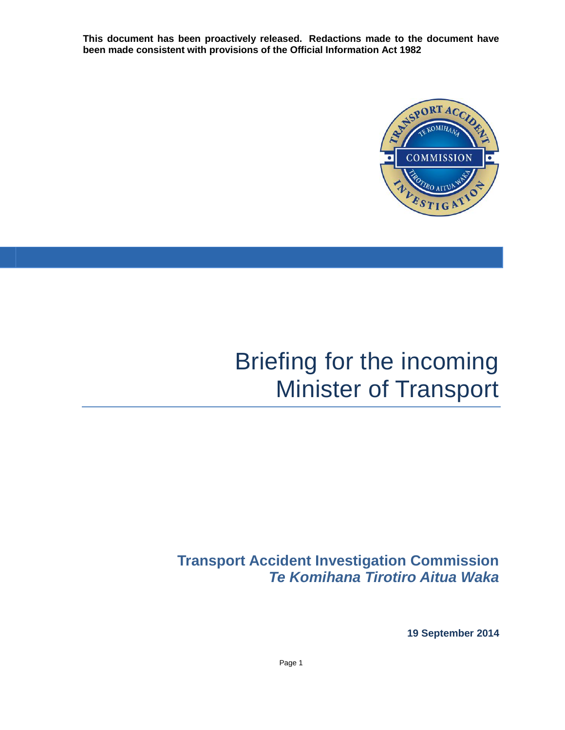**This document has been proactively released. Redactions made to the document have been made consistent with provisions of the Official Information Act 1982**



# Briefing for the incoming Minister of Transport

# **Transport Accident Investigation Commission** *Te Komihana Tirotiro Aitua Waka*

**19 September 2014**

Page 1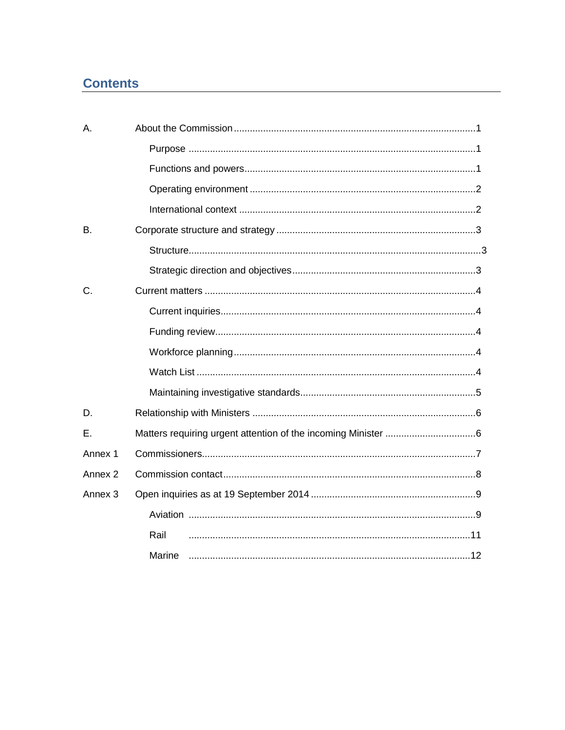## **Contents**

| A.                 |        |
|--------------------|--------|
|                    |        |
|                    |        |
|                    |        |
|                    |        |
| Β.                 |        |
|                    |        |
|                    |        |
| C.                 |        |
|                    |        |
|                    |        |
|                    |        |
|                    |        |
|                    |        |
| D.                 |        |
| Ε.                 |        |
| Annex 1            |        |
| Annex <sub>2</sub> |        |
| Annex <sub>3</sub> |        |
|                    |        |
|                    | Rail   |
|                    | Marine |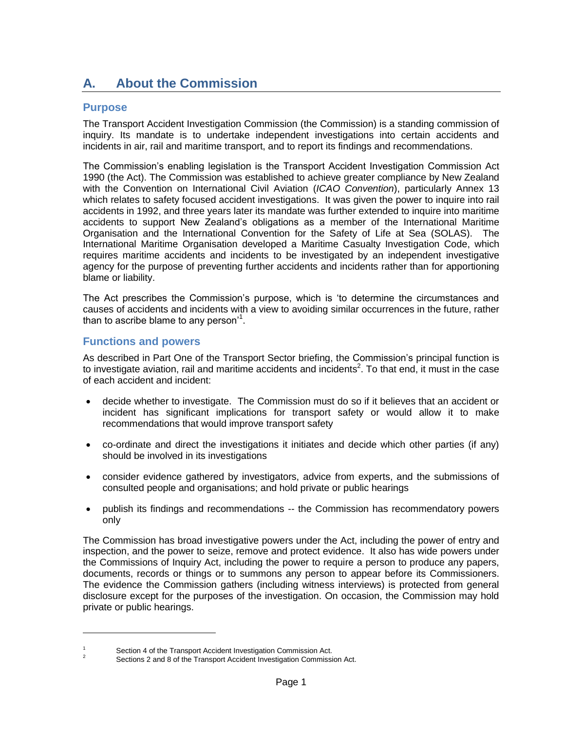# <span id="page-4-0"></span>**A. About the Commission**

#### <span id="page-4-1"></span>**Purpose**

The Transport Accident Investigation Commission (the Commission) is a standing commission of inquiry. Its mandate is to undertake independent investigations into certain accidents and incidents in air, rail and maritime transport, and to report its findings and recommendations.

The Commission's enabling legislation is the Transport Accident Investigation Commission Act 1990 (the Act). The Commission was established to achieve greater compliance by New Zealand with the Convention on International Civil Aviation (*ICAO Convention*), particularly Annex 13 which relates to safety focused accident investigations. It was given the power to inquire into rail accidents in 1992, and three years later its mandate was further extended to inquire into maritime accidents to support New Zealand's obligations as a member of the International Maritime Organisation and the International Convention for the Safety of Life at Sea (SOLAS). The International Maritime Organisation developed a Maritime Casualty Investigation Code, which requires maritime accidents and incidents to be investigated by an independent investigative agency for the purpose of preventing further accidents and incidents rather than for apportioning blame or liability.

The Act prescribes the Commission's purpose, which is 'to determine the circumstances and causes of accidents and incidents with a view to avoiding similar occurrences in the future, rather than to ascribe blame to any person'<sup>1</sup>.

#### <span id="page-4-2"></span>**Functions and powers**

<span id="page-4-3"></span> $\overline{a}$ 

As described in Part One of the Transport Sector briefing, the Commission's principal function is to investigate aviation, rail and maritime accidents and incidents<sup>2</sup>. To that end, it must in the case of each accident and incident:

- decide whether to investigate. The Commission must do so if it believes that an accident or incident has significant implications for transport safety or would allow it to make recommendations that would improve transport safety
- co-ordinate and direct the investigations it initiates and decide which other parties (if any) should be involved in its investigations
- consider evidence gathered by investigators, advice from experts, and the submissions of consulted people and organisations; and hold private or public hearings
- publish its findings and recommendations -- the Commission has recommendatory powers only

The Commission has broad investigative powers under the Act, including the power of entry and inspection, and the power to seize, remove and protect evidence. It also has wide powers under the Commissions of Inquiry Act, including the power to require a person to produce any papers, documents, records or things or to summons any person to appear before its Commissioners. The evidence the Commission gathers (including witness interviews) is protected from general disclosure except for the purposes of the investigation. On occasion, the Commission may hold private or public hearings.

 $\frac{1}{2}$  Section 4 of the Transport Accident Investigation Commission Act.

<sup>2</sup> Sections 2 and 8 of the Transport Accident Investigation Commission Act.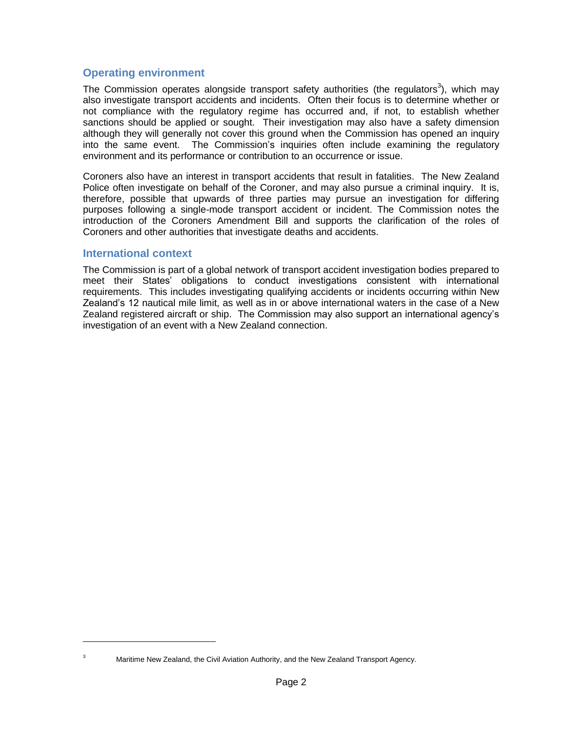#### **Operating environment**

The Commission operates alongside transport safety authorities (the regulators<sup>3</sup>), which may also investigate transport accidents and incidents. Often their focus is to determine whether or not compliance with the regulatory regime has occurred and, if not, to establish whether sanctions should be applied or sought. Their investigation may also have a safety dimension although they will generally not cover this ground when the Commission has opened an inquiry into the same event. The Commission's inquiries often include examining the regulatory environment and its performance or contribution to an occurrence or issue.

Coroners also have an interest in transport accidents that result in fatalities. The New Zealand Police often investigate on behalf of the Coroner, and may also pursue a criminal inquiry. It is, therefore, possible that upwards of three parties may pursue an investigation for differing purposes following a single-mode transport accident or incident. The Commission notes the introduction of the Coroners Amendment Bill and supports the clarification of the roles of Coroners and other authorities that investigate deaths and accidents.

#### <span id="page-5-0"></span>**International context**

The Commission is part of a global network of transport accident investigation bodies prepared to meet their States' obligations to conduct investigations consistent with international requirements. This includes investigating qualifying accidents or incidents occurring within New Zealand's 12 nautical mile limit, as well as in or above international waters in the case of a New Zealand registered aircraft or ship. The Commission may also support an international agency's investigation of an event with a New Zealand connection.

 $\overline{a}$ 

Maritime New Zealand, the Civil Aviation Authority, and the New Zealand Transport Agency.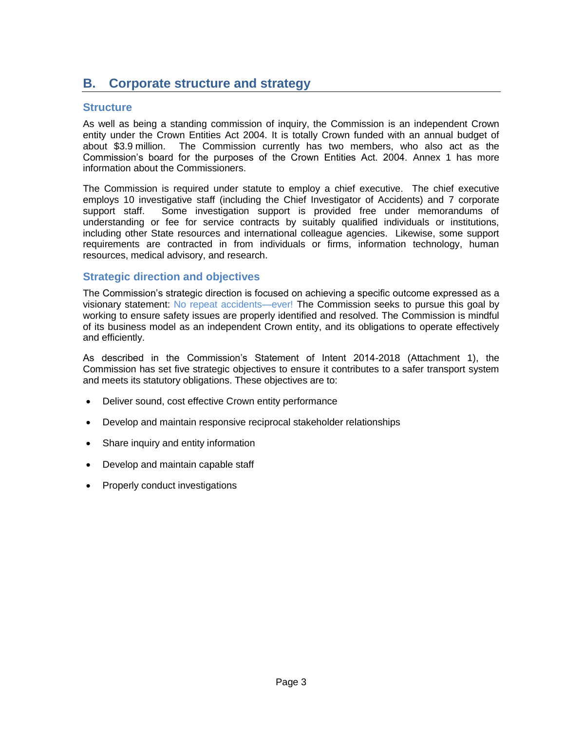## <span id="page-6-0"></span>**B. Corporate structure and strategy**

#### <span id="page-6-1"></span>**Structure**

As well as being a standing commission of inquiry, the Commission is an independent Crown entity under the Crown Entities Act 2004. It is totally Crown funded with an annual budget of about \$3.9 million. The Commission currently has two members, who also act as the Commission's board for the purposes of the Crown Entities Act. 2004. Annex 1 has more information about the Commissioners.

The Commission is required under statute to employ a chief executive. The chief executive employs 10 investigative staff (including the Chief Investigator of Accidents) and 7 corporate support staff. Some investigation support is provided free under memorandums of understanding or fee for service contracts by suitably qualified individuals or institutions, including other State resources and international colleague agencies. Likewise, some support requirements are contracted in from individuals or firms, information technology, human resources, medical advisory, and research.

#### <span id="page-6-2"></span>**Strategic direction and objectives**

The Commission's strategic direction is focused on achieving a specific outcome expressed as a visionary statement: No repeat accidents—ever! The Commission seeks to pursue this goal by working to ensure safety issues are properly identified and resolved. The Commission is mindful of its business model as an independent Crown entity, and its obligations to operate effectively and efficiently.

As described in the Commission's Statement of Intent 2014-2018 (Attachment 1), the Commission has set five strategic objectives to ensure it contributes to a safer transport system and meets its statutory obligations. These objectives are to:

- Deliver sound, cost effective Crown entity performance
- Develop and maintain responsive reciprocal stakeholder relationships
- Share inquiry and entity information
- Develop and maintain capable staff
- Properly conduct investigations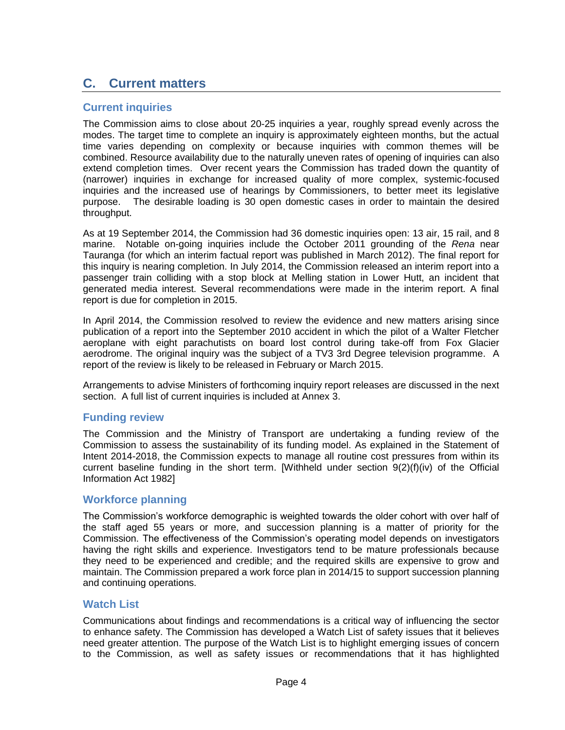### <span id="page-7-0"></span>**C. Current matters**

#### <span id="page-7-1"></span>**Current inquiries**

The Commission aims to close about 20-25 inquiries a year, roughly spread evenly across the modes. The target time to complete an inquiry is approximately eighteen months, but the actual time varies depending on complexity or because inquiries with common themes will be combined. Resource availability due to the naturally uneven rates of opening of inquiries can also extend completion times. Over recent years the Commission has traded down the quantity of (narrower) inquiries in exchange for increased quality of more complex, systemic-focused inquiries and the increased use of hearings by Commissioners, to better meet its legislative purpose. The desirable loading is 30 open domestic cases in order to maintain the desired throughput.

As at 19 September 2014, the Commission had 36 domestic inquiries open: 13 air, 15 rail, and 8 marine. Notable on-going inquiries include the October 2011 grounding of the *Rena* near Tauranga (for which an interim factual report was published in March 2012). The final report for this inquiry is nearing completion. In July 2014, the Commission released an interim report into a passenger train colliding with a stop block at Melling station in Lower Hutt, an incident that generated media interest. Several recommendations were made in the interim report. A final report is due for completion in 2015.

In April 2014, the Commission resolved to review the evidence and new matters arising since publication of a report into the September 2010 accident in which the pilot of a Walter Fletcher aeroplane with eight parachutists on board lost control during take-off from Fox Glacier aerodrome. The original inquiry was the subject of a TV3 3rd Degree television programme. A report of the review is likely to be released in February or March 2015.

Arrangements to advise Ministers of forthcoming inquiry report releases are discussed in the next section. A full list of current inquiries is included at Annex 3.

#### <span id="page-7-2"></span>**Funding review**

The Commission and the Ministry of Transport are undertaking a funding review of the Commission to assess the sustainability of its funding model. As explained in the Statement of Intent 2014-2018, the Commission expects to manage all routine cost pressures from within its current baseline funding in the short term. [Withheld under section  $9(2)(f)(iv)$  of the Official Information Act 1982]

#### <span id="page-7-3"></span>**Workforce planning**

The Commission's workforce demographic is weighted towards the older cohort with over half of the staff aged 55 years or more, and succession planning is a matter of priority for the Commission. The effectiveness of the Commission's operating model depends on investigators having the right skills and experience. Investigators tend to be mature professionals because they need to be experienced and credible; and the required skills are expensive to grow and maintain. The Commission prepared a work force plan in 2014/15 to support succession planning and continuing operations.

#### <span id="page-7-4"></span>**Watch List**

Communications about findings and recommendations is a critical way of influencing the sector to enhance safety. The Commission has developed a Watch List of safety issues that it believes need greater attention. The purpose of the Watch List is to highlight emerging issues of concern to the Commission, as well as safety issues or recommendations that it has highlighted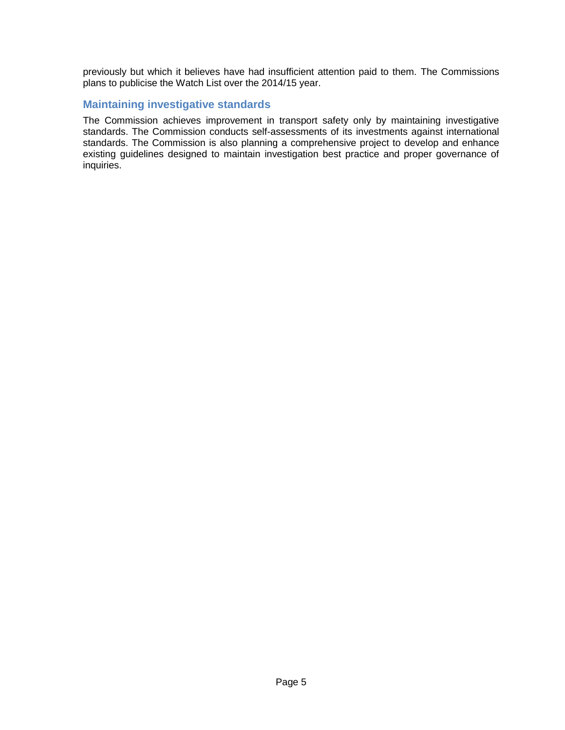previously but which it believes have had insufficient attention paid to them. The Commissions plans to publicise the Watch List over the 2014/15 year.

#### <span id="page-8-0"></span>**Maintaining investigative standards**

The Commission achieves improvement in transport safety only by maintaining investigative standards. The Commission conducts self-assessments of its investments against international standards. The Commission is also planning a comprehensive project to develop and enhance existing guidelines designed to maintain investigation best practice and proper governance of inquiries.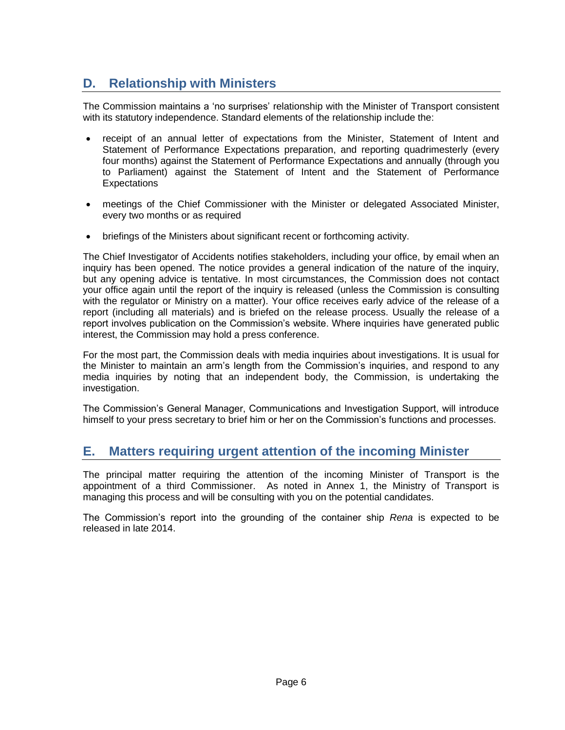# <span id="page-9-0"></span>**D. Relationship with Ministers**

The Commission maintains a 'no surprises' relationship with the Minister of Transport consistent with its statutory independence. Standard elements of the relationship include the:

- receipt of an annual letter of expectations from the Minister, Statement of Intent and Statement of Performance Expectations preparation, and reporting quadrimesterly (every four months) against the Statement of Performance Expectations and annually (through you to Parliament) against the Statement of Intent and the Statement of Performance Expectations
- meetings of the Chief Commissioner with the Minister or delegated Associated Minister, every two months or as required
- briefings of the Ministers about significant recent or forthcoming activity.

The Chief Investigator of Accidents notifies stakeholders, including your office, by email when an inquiry has been opened. The notice provides a general indication of the nature of the inquiry, but any opening advice is tentative. In most circumstances, the Commission does not contact your office again until the report of the inquiry is released (unless the Commission is consulting with the regulator or Ministry on a matter). Your office receives early advice of the release of a report (including all materials) and is briefed on the release process. Usually the release of a report involves publication on the Commission's website. Where inquiries have generated public interest, the Commission may hold a press conference.

For the most part, the Commission deals with media inquiries about investigations. It is usual for the Minister to maintain an arm's length from the Commission's inquiries, and respond to any media inquiries by noting that an independent body, the Commission, is undertaking the investigation.

The Commission's General Manager, Communications and Investigation Support, will introduce himself to your press secretary to brief him or her on the Commission's functions and processes.

### <span id="page-9-1"></span>**E. Matters requiring urgent attention of the incoming Minister**

The principal matter requiring the attention of the incoming Minister of Transport is the appointment of a third Commissioner. As noted in Annex 1, the Ministry of Transport is managing this process and will be consulting with you on the potential candidates.

The Commission's report into the grounding of the container ship *Rena* is expected to be released in late 2014.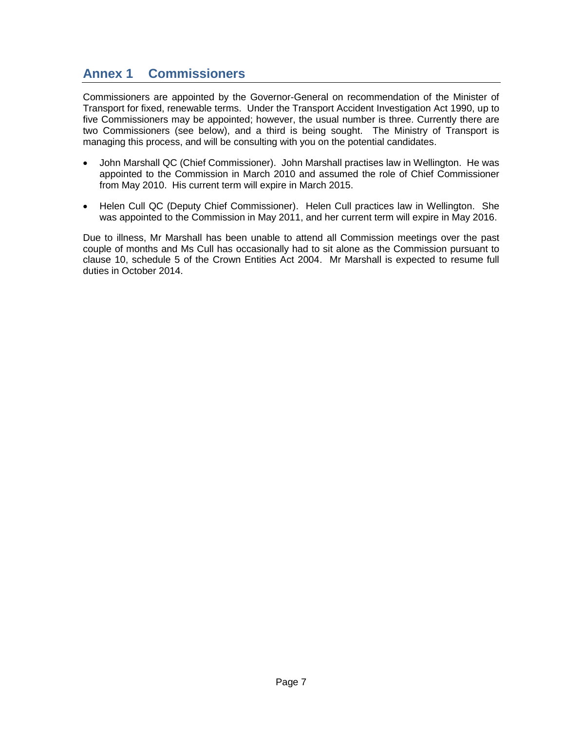### <span id="page-10-0"></span>**Annex 1 Commissioners**

Commissioners are appointed by the Governor-General on recommendation of the Minister of Transport for fixed, renewable terms. Under the Transport Accident Investigation Act 1990, up to five Commissioners may be appointed; however, the usual number is three. Currently there are two Commissioners (see below), and a third is being sought. The Ministry of Transport is managing this process, and will be consulting with you on the potential candidates.

- John Marshall QC (Chief Commissioner). John Marshall practises law in Wellington. He was appointed to the Commission in March 2010 and assumed the role of Chief Commissioner from May 2010. His current term will expire in March 2015.
- Helen Cull QC (Deputy Chief Commissioner). Helen Cull practices law in Wellington. She was appointed to the Commission in May 2011, and her current term will expire in May 2016.

Due to illness, Mr Marshall has been unable to attend all Commission meetings over the past couple of months and Ms Cull has occasionally had to sit alone as the Commission pursuant to clause 10, schedule 5 of the Crown Entities Act 2004. Mr Marshall is expected to resume full duties in October 2014.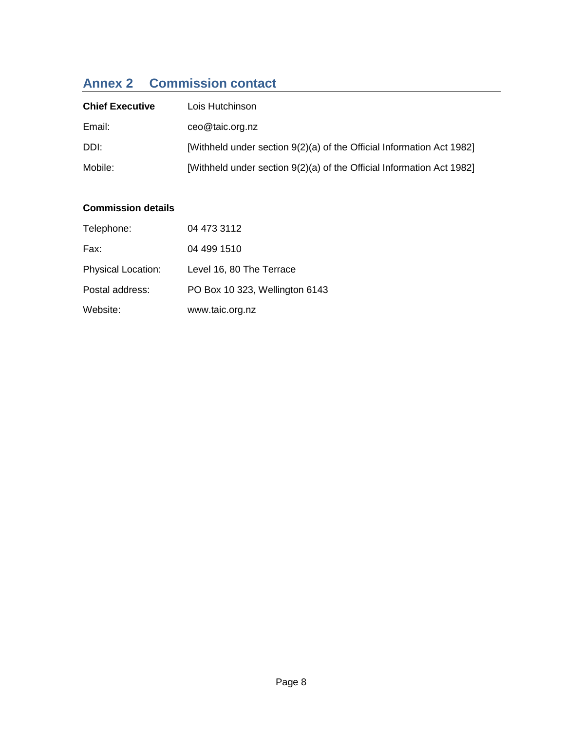# <span id="page-11-0"></span>**Annex 2 Commission contact**

| <b>Chief Executive</b> | Lois Hutchinson                                                       |
|------------------------|-----------------------------------------------------------------------|
| Email:                 | ceo@taic.org.nz                                                       |
| DDI:                   | [Withheld under section 9(2)(a) of the Official Information Act 1982] |
| Mobile:                | [Withheld under section 9(2)(a) of the Official Information Act 1982] |

#### **Commission details**

| Telephone:                | 04 473 3112                    |
|---------------------------|--------------------------------|
| Fax:                      | 04 499 1510                    |
| <b>Physical Location:</b> | Level 16, 80 The Terrace       |
| Postal address:           | PO Box 10 323, Wellington 6143 |
| Website:                  | www.taic.org.nz                |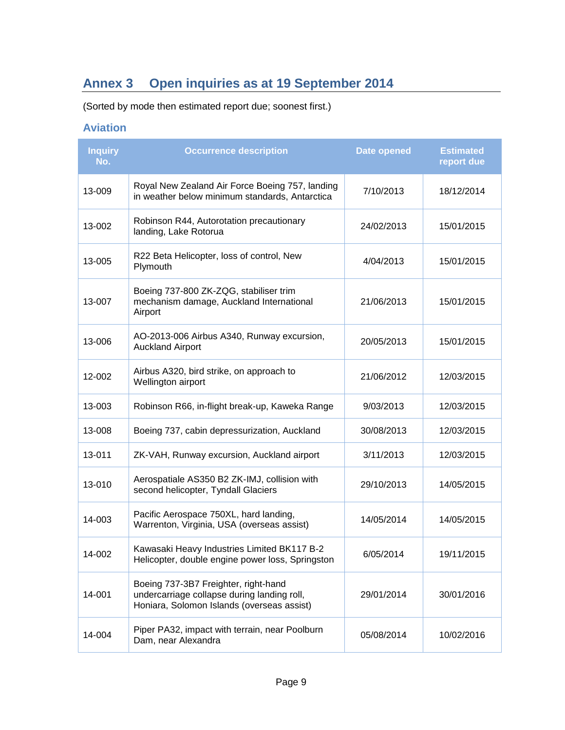# <span id="page-12-0"></span>**Annex 3 Open inquiries as at 19 September 2014**

(Sorted by mode then estimated report due; soonest first.)

### <span id="page-12-1"></span>**Aviation**

| <b>Inquiry</b><br>No. | <b>Occurrence description</b>                                                                                                     | <b>Date opened</b> | <b>Estimated</b><br>report due |
|-----------------------|-----------------------------------------------------------------------------------------------------------------------------------|--------------------|--------------------------------|
| 13-009                | Royal New Zealand Air Force Boeing 757, landing<br>in weather below minimum standards, Antarctica                                 | 7/10/2013          | 18/12/2014                     |
| 13-002                | Robinson R44, Autorotation precautionary<br>landing, Lake Rotorua                                                                 | 24/02/2013         | 15/01/2015                     |
| 13-005                | R22 Beta Helicopter, loss of control, New<br>Plymouth                                                                             | 4/04/2013          | 15/01/2015                     |
| 13-007                | Boeing 737-800 ZK-ZQG, stabiliser trim<br>mechanism damage, Auckland International<br>Airport                                     | 21/06/2013         | 15/01/2015                     |
| 13-006                | AO-2013-006 Airbus A340, Runway excursion,<br><b>Auckland Airport</b>                                                             | 20/05/2013         | 15/01/2015                     |
| 12-002                | Airbus A320, bird strike, on approach to<br>Wellington airport                                                                    | 21/06/2012         | 12/03/2015                     |
| 13-003                | Robinson R66, in-flight break-up, Kaweka Range                                                                                    | 9/03/2013          | 12/03/2015                     |
| 13-008                | Boeing 737, cabin depressurization, Auckland                                                                                      | 30/08/2013         | 12/03/2015                     |
| 13-011                | ZK-VAH, Runway excursion, Auckland airport                                                                                        | 3/11/2013          | 12/03/2015                     |
| 13-010                | Aerospatiale AS350 B2 ZK-IMJ, collision with<br>second helicopter, Tyndall Glaciers                                               | 29/10/2013         | 14/05/2015                     |
| 14-003                | Pacific Aerospace 750XL, hard landing,<br>Warrenton, Virginia, USA (overseas assist)                                              | 14/05/2014         | 14/05/2015                     |
| 14-002                | Kawasaki Heavy Industries Limited BK117 B-2<br>Helicopter, double engine power loss, Springston                                   | 6/05/2014          | 19/11/2015                     |
| 14-001                | Boeing 737-3B7 Freighter, right-hand<br>undercarriage collapse during landing roll,<br>Honiara, Solomon Islands (overseas assist) | 29/01/2014         | 30/01/2016                     |
| 14-004                | Piper PA32, impact with terrain, near Poolburn<br>Dam, near Alexandra                                                             | 05/08/2014         | 10/02/2016                     |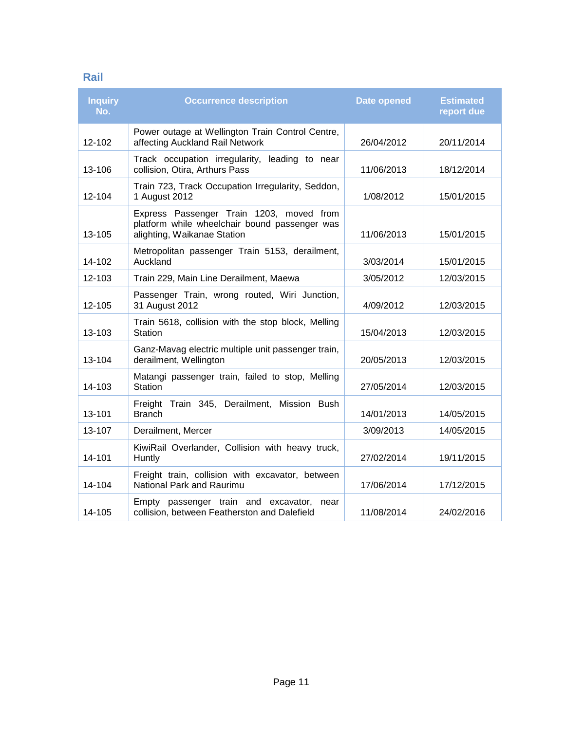#### <span id="page-14-0"></span>**Rail**

| <b>Inquiry</b><br>No. | <b>Occurrence description</b>                                                                                            | <b>Date opened</b> | <b>Estimated</b><br>report due |
|-----------------------|--------------------------------------------------------------------------------------------------------------------------|--------------------|--------------------------------|
| 12-102                | Power outage at Wellington Train Control Centre,<br>affecting Auckland Rail Network                                      | 26/04/2012         | 20/11/2014                     |
| 13-106                | Track occupation irregularity, leading to near<br>collision, Otira, Arthurs Pass                                         | 11/06/2013         | 18/12/2014                     |
| 12-104                | Train 723, Track Occupation Irregularity, Seddon,<br>1 August 2012                                                       | 1/08/2012          | 15/01/2015                     |
| 13-105                | Express Passenger Train 1203, moved from<br>platform while wheelchair bound passenger was<br>alighting, Waikanae Station | 11/06/2013         | 15/01/2015                     |
| 14-102                | Metropolitan passenger Train 5153, derailment,<br>Auckland                                                               | 3/03/2014          | 15/01/2015                     |
| 12-103                | Train 229, Main Line Derailment, Maewa                                                                                   | 3/05/2012          | 12/03/2015                     |
| 12-105                | Passenger Train, wrong routed, Wiri Junction,<br>31 August 2012                                                          | 4/09/2012          | 12/03/2015                     |
| 13-103                | Train 5618, collision with the stop block, Melling<br>Station                                                            | 15/04/2013         | 12/03/2015                     |
| 13-104                | Ganz-Mavag electric multiple unit passenger train,<br>derailment, Wellington                                             | 20/05/2013         | 12/03/2015                     |
| 14-103                | Matangi passenger train, failed to stop, Melling<br>Station                                                              | 27/05/2014         | 12/03/2015                     |
| 13-101                | Freight Train 345, Derailment, Mission Bush<br><b>Branch</b>                                                             | 14/01/2013         | 14/05/2015                     |
| 13-107                | Derailment, Mercer                                                                                                       | 3/09/2013          | 14/05/2015                     |
| 14-101                | KiwiRail Overlander, Collision with heavy truck,<br>Huntly                                                               | 27/02/2014         | 19/11/2015                     |
| 14-104                | Freight train, collision with excavator, between<br>National Park and Raurimu                                            | 17/06/2014         | 17/12/2015                     |
| 14-105                | Empty passenger train and excavator,<br>near<br>collision, between Featherston and Dalefield                             | 11/08/2014         | 24/02/2016                     |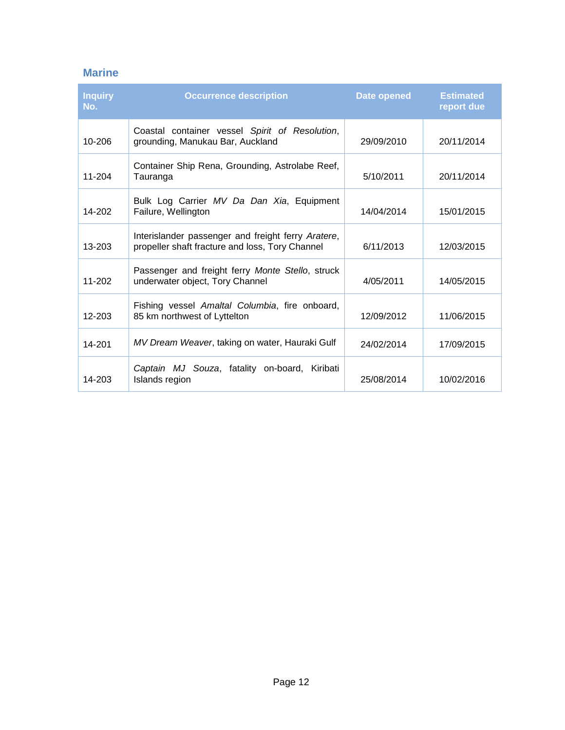### <span id="page-15-0"></span>**Marine**

| <b>Inquiry</b><br>No. | <b>Occurrence description</b>                                                                         | Date opened | <b>Estimated</b><br>report due |
|-----------------------|-------------------------------------------------------------------------------------------------------|-------------|--------------------------------|
| 10-206                | Coastal container vessel Spirit of Resolution,<br>grounding, Manukau Bar, Auckland                    | 29/09/2010  | 20/11/2014                     |
| 11-204                | Container Ship Rena, Grounding, Astrolabe Reef,<br>Tauranga                                           | 5/10/2011   | 20/11/2014                     |
| 14-202                | Bulk Log Carrier MV Da Dan Xia, Equipment<br>Failure, Wellington                                      | 14/04/2014  | 15/01/2015                     |
| $13 - 203$            | Interislander passenger and freight ferry Aratere,<br>propeller shaft fracture and loss, Tory Channel | 6/11/2013   | 12/03/2015                     |
| 11-202                | Passenger and freight ferry Monte Stello, struck<br>underwater object, Tory Channel                   | 4/05/2011   | 14/05/2015                     |
| 12-203                | Fishing vessel Amaltal Columbia, fire onboard,<br>85 km northwest of Lyttelton                        | 12/09/2012  | 11/06/2015                     |
| 14-201                | MV Dream Weaver, taking on water, Hauraki Gulf                                                        | 24/02/2014  | 17/09/2015                     |
| 14-203                | Captain MJ Souza, fatality on-board, Kiribati<br>Islands region                                       | 25/08/2014  | 10/02/2016                     |